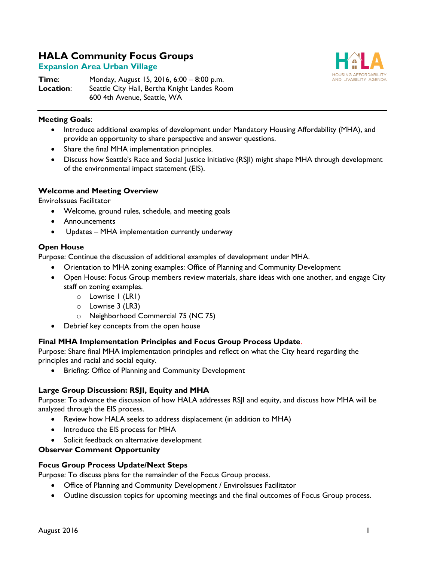# **HALA Community Focus Groups**

## **Expansion Area Urban Village**

**Time:** Monday, August 15, 2016, 6:00 – 8:00 p.m. **Location**: Seattle City Hall, Bertha Knight Landes Room 600 4th Avenue, Seattle, WA



#### **Meeting Goals**:

- Introduce additional examples of development under Mandatory Housing Affordability (MHA), and provide an opportunity to share perspective and answer questions.
- Share the final MHA implementation principles.
- Discuss how Seattle's Race and Social Justice Initiative (RSJI) might shape MHA through development of the environmental impact statement (EIS).

#### **Welcome and Meeting Overview**

EnviroIssues Facilitator

- Welcome, ground rules, schedule, and meeting goals
- Announcements
- Updates MHA implementation currently underway

#### **Open House**

Purpose: Continue the discussion of additional examples of development under MHA.

- Orientation to MHA zoning examples: Office of Planning and Community Development
- Open House: Focus Group members review materials, share ideas with one another, and engage City staff on zoning examples.
	- o Lowrise 1 (LR1)
	- o Lowrise 3 (LR3)
	- o Neighborhood Commercial 75 (NC 75)
- Debrief key concepts from the open house

## **Final MHA Implementation Principles and Focus Group Process Update**.

Purpose: Share final MHA implementation principles and reflect on what the City heard regarding the principles and racial and social equity.

• Briefing: Office of Planning and Community Development

## **Large Group Discussion: RSJI, Equity and MHA**

Purpose: To advance the discussion of how HALA addresses RSJI and equity, and discuss how MHA will be analyzed through the EIS process.

- Review how HALA seeks to address displacement (in addition to MHA)
- Introduce the EIS process for MHA
- Solicit feedback on alternative development

## **Observer Comment Opportunity**

#### **Focus Group Process Update/Next Steps**

Purpose: To discuss plans for the remainder of the Focus Group process.

- Office of Planning and Community Development / EnviroIssues Facilitator
- Outline discussion topics for upcoming meetings and the final outcomes of Focus Group process.